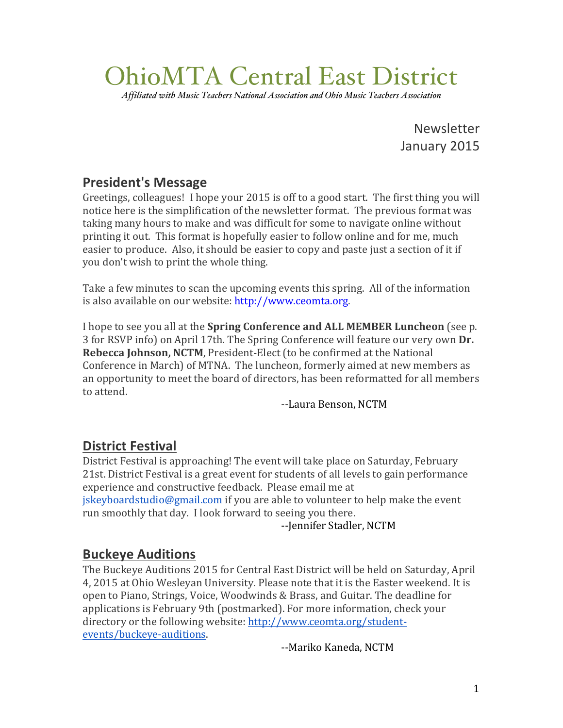# OhioMTA Central East District

*Affiliated with Music Teachers National Association and Ohio Music Teachers Association*

Newsletter January 2015

# **President's Message**

Greetings, colleagues! I hope your 2015 is off to a good start. The first thing you will notice here is the simplification of the newsletter format. The previous format was taking many hours to make and was difficult for some to navigate online without printing it out. This format is hopefully easier to follow online and for me, much easier to produce. Also, it should be easier to copy and paste just a section of it if you don't wish to print the whole thing.

Take a few minutes to scan the upcoming events this spring. All of the information is also available on our website: http://www.ceomta.org.

I hope to see you all at the **Spring Conference and ALL MEMBER Luncheon** (see p. 3 for RSVP info) on April 17th. The Spring Conference will feature our very own **Dr. Rebecca Johnson, NCTM**, President-Elect (to be confirmed at the National Conference in March) of MTNA. The luncheon, formerly aimed at new members as an opportunity to meet the board of directors, has been reformatted for all members to attend.

--Laura Benson, NCTM

# **District Festival**

District Festival is approaching! The event will take place on Saturday, February 21st. District Festival is a great event for students of all levels to gain performance experience and constructive feedback. Please email me at jskeyboardstudio@gmail.com if you are able to volunteer to help make the event run smoothly that day. I look forward to seeing you there.

--Jennifer Stadler, NCTM

### **Buckeye Auditions**

The Buckeye Auditions 2015 for Central East District will be held on Saturday, April 4, 2015 at Ohio Wesleyan University. Please note that it is the Easter weekend. It is open to Piano, Strings, Voice, Woodwinds & Brass, and Guitar. The deadline for applications is February 9th (postmarked). For more information, check your directory or the following website: http://www.ceomta.org/studentevents/buckeye-auditions.

--Mariko Kaneda, NCTM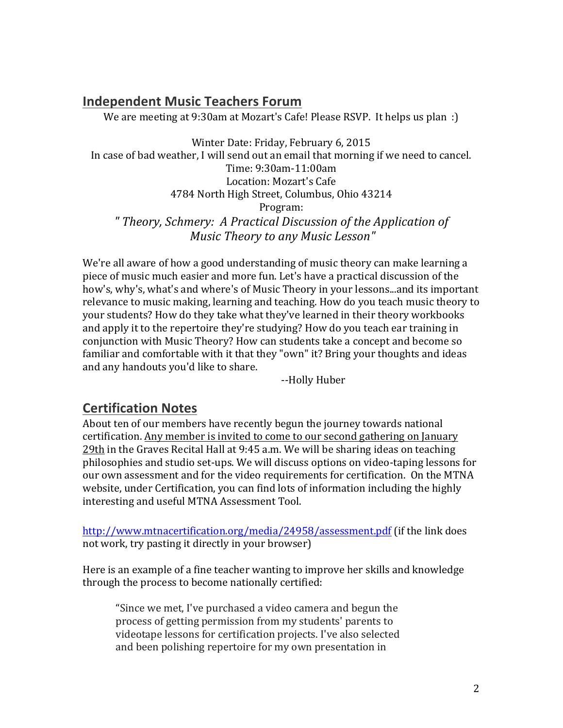# **Independent Music Teachers Forum**

We are meeting at 9:30am at Mozart's Cafe! Please RSVP. It helps us plan :)

Winter Date: Friday, February 6, 2015 In case of bad weather, I will send out an email that morning if we need to cancel. Time: 9:30am-11:00am Location: Mozart's Cafe 4784 North High Street, Columbus, Ohio 43214 Program: *" Theory, Schmery: A Practical Discussion of the Application of Music Theory to any Music Lesson"*

We're all aware of how a good understanding of music theory can make learning a piece of music much easier and more fun. Let's have a practical discussion of the how's, why's, what's and where's of Music Theory in your lessons...and its important relevance to music making, learning and teaching. How do you teach music theory to your students? How do they take what they've learned in their theory workbooks and apply it to the repertoire they're studying? How do you teach ear training in conjunction with Music Theory? How can students take a concept and become so familiar and comfortable with it that they "own" it? Bring your thoughts and ideas and any handouts you'd like to share.

--Holly Huber

# **Certification Notes**

About ten of our members have recently begun the journey towards national certification. Any member is invited to come to our second gathering on January  $29th$  in the Graves Recital Hall at 9:45 a.m. We will be sharing ideas on teaching philosophies and studio set-ups. We will discuss options on video-taping lessons for our own assessment and for the video requirements for certification. On the MTNA website, under Certification, you can find lots of information including the highly interesting and useful MTNA Assessment Tool.

http://www.mtnacertification.org/media/24958/assessment.pdf (if the link does not work, try pasting it directly in your browser)

Here is an example of a fine teacher wanting to improve her skills and knowledge through the process to become nationally certified:

"Since we met, I've purchased a video camera and begun the process of getting permission from my students' parents to videotape lessons for certification projects. I've also selected and been polishing repertoire for my own presentation in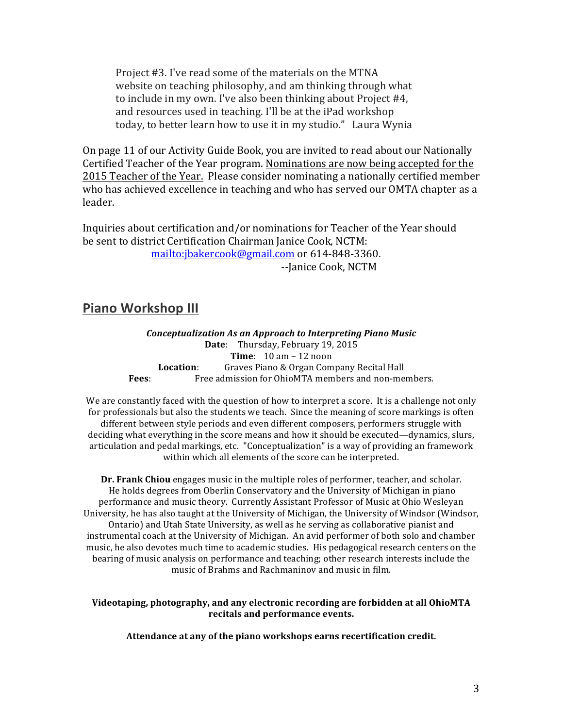Project #3. I've read some of the materials on the MTNA website on teaching philosophy, and am thinking through what to include in my own. I've also been thinking about Project  $#4$ , and resources used in teaching. I'll be at the iPad workshop today, to better learn how to use it in my studio." Laura Wynia

On page 11 of our Activity Guide Book, you are invited to read about our Nationally Certified Teacher of the Year program. Nominations are now being accepted for the 2015 Teacher of the Year. Please consider nominating a nationally certified member who has achieved excellence in teaching and who has served our OMTA chapter as a leader. 

Inquiries about certification and/or nominations for Teacher of the Year should be sent to district Certification Chairman Janice Cook, NCTM: mailto:jbakercook@gmail.com or 614-848-3360.

--Janice Cook, NCTM

#### **Piano Workshop III**

*Conceptualization As an Approach to Interpreting Piano Music* **Date:** Thursday, February 19, 2015 **Time**: 10 am – 12 noon **Location:** Graves Piano & Organ Company Recital Hall **Fees:** Free admission for OhioMTA members and non-members.

We are constantly faced with the question of how to interpret a score. It is a challenge not only for professionals but also the students we teach. Since the meaning of score markings is often different between style periods and even different composers, performers struggle with deciding what everything in the score means and how it should be executed—dynamics, slurs, articulation and pedal markings, etc. "Conceptualization" is a way of providing an framework within which all elements of the score can be interpreted.

**Dr. Frank Chiou** engages music in the multiple roles of performer, teacher, and scholar. He holds degrees from Oberlin Conservatory and the University of Michigan in piano performance and music theory. Currently Assistant Professor of Music at Ohio Wesleyan University, he has also taught at the University of Michigan, the University of Windsor (Windsor, Ontario) and Utah State University, as well as he serving as collaborative pianist and instrumental coach at the University of Michigan. An avid performer of both solo and chamber music, he also devotes much time to academic studies. His pedagogical research centers on the bearing of music analysis on performance and teaching; other research interests include the music of Brahms and Rachmaninov and music in film.

#### Videotaping, photography, and any electronic recording are forbidden at all OhioMTA recitals and performance events.

Attendance at any of the piano workshops earns recertification credit.